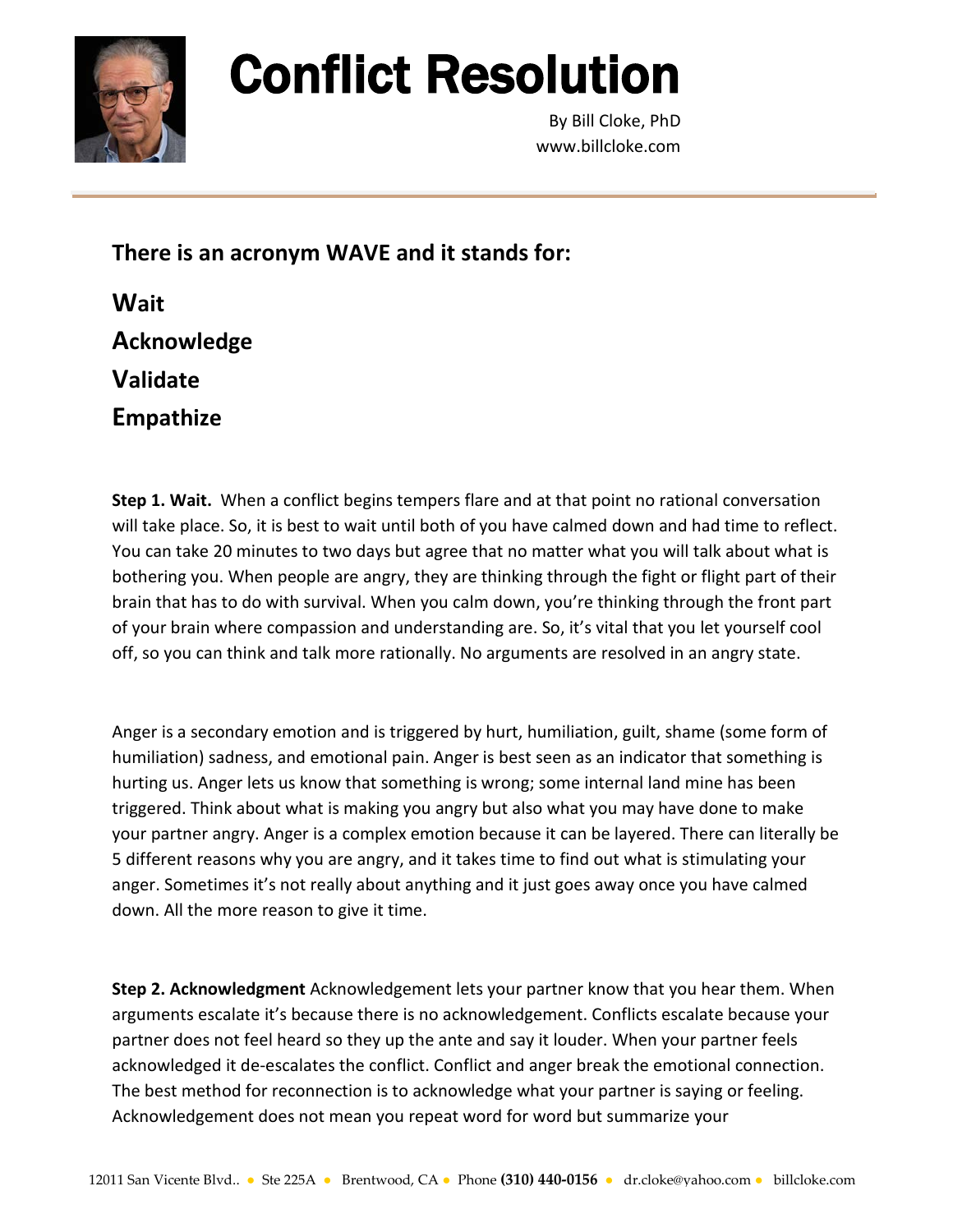

## Conflict Resolution

By Bill Cloke, PhD www.billcloke.com

**There is an acronym WAVE and it stands for:**

| Wait             |
|------------------|
| Acknowledge      |
| <b>Validate</b>  |
| <b>Empathize</b> |

**Step 1. Wait.** When a conflict begins tempers flare and at that point no rational conversation will take place. So, it is best to wait until both of you have calmed down and had time to reflect. You can take 20 minutes to two days but agree that no matter what you will talk about what is bothering you. When people are angry, they are thinking through the fight or flight part of their brain that has to do with survival. When you calm down, you're thinking through the front part of your brain where compassion and understanding are. So, it's vital that you let yourself cool off, so you can think and talk more rationally. No arguments are resolved in an angry state.

Anger is a secondary emotion and is triggered by hurt, humiliation, guilt, shame (some form of humiliation) sadness, and emotional pain. Anger is best seen as an indicator that something is hurting us. Anger lets us know that something is wrong; some internal land mine has been triggered. Think about what is making you angry but also what you may have done to make your partner angry. Anger is a complex emotion because it can be layered. There can literally be 5 different reasons why you are angry, and it takes time to find out what is stimulating your anger. Sometimes it's not really about anything and it just goes away once you have calmed down. All the more reason to give it time.

**Step 2. Acknowledgment** Acknowledgement lets your partner know that you hear them. When arguments escalate it's because there is no acknowledgement. Conflicts escalate because your partner does not feel heard so they up the ante and say it louder. When your partner feels acknowledged it de-escalates the conflict. Conflict and anger break the emotional connection. The best method for reconnection is to acknowledge what your partner is saying or feeling. Acknowledgement does not mean you repeat word for word but summarize your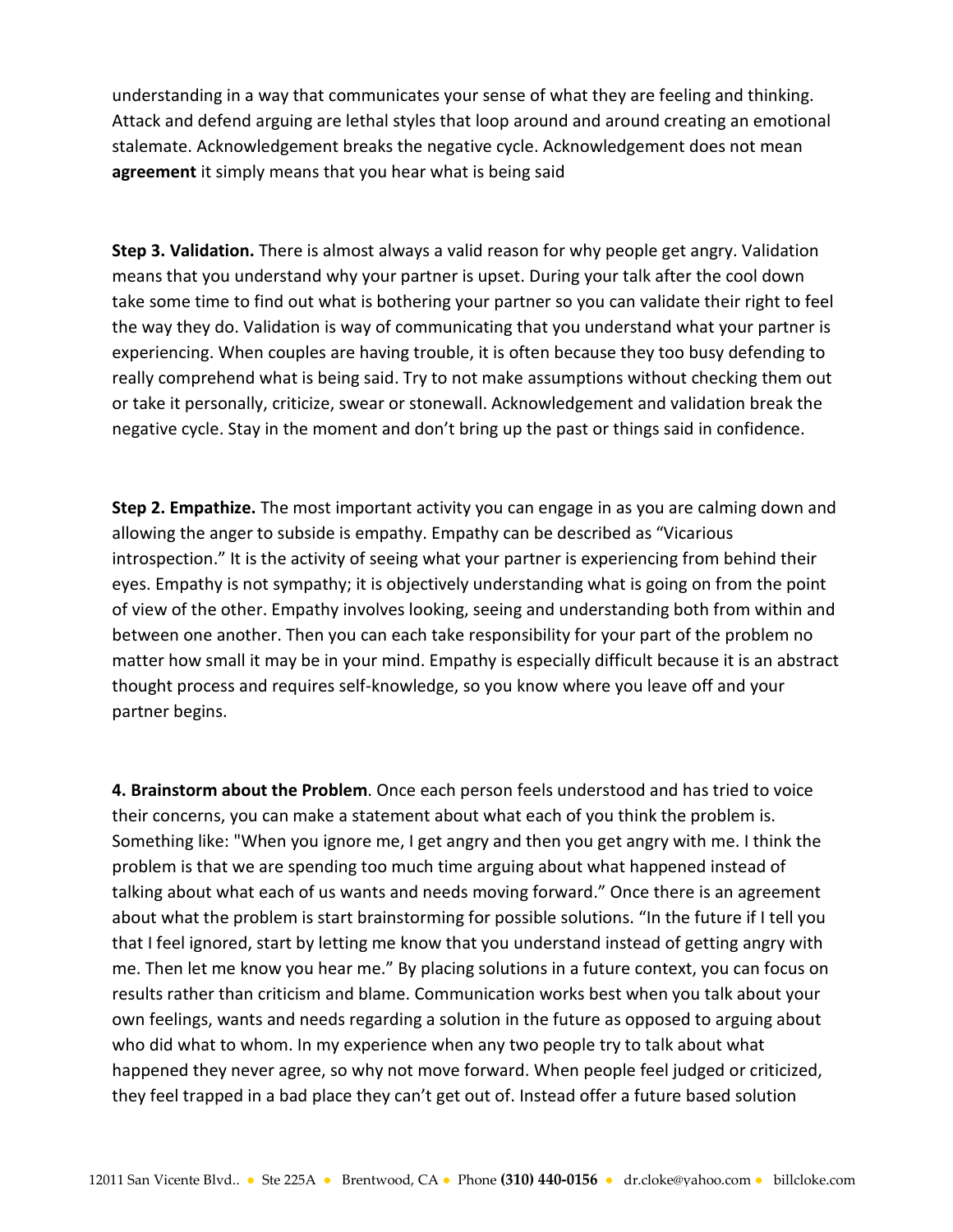understanding in a way that communicates your sense of what they are feeling and thinking. Attack and defend arguing are lethal styles that loop around and around creating an emotional stalemate. Acknowledgement breaks the negative cycle. Acknowledgement does not mean **agreement** it simply means that you hear what is being said

**Step 3. Validation.** There is almost always a valid reason for why people get angry. Validation means that you understand why your partner is upset. During your talk after the cool down take some time to find out what is bothering your partner so you can validate their right to feel the way they do. Validation is way of communicating that you understand what your partner is experiencing. When couples are having trouble, it is often because they too busy defending to really comprehend what is being said. Try to not make assumptions without checking them out or take it personally, criticize, swear or stonewall. Acknowledgement and validation break the negative cycle. Stay in the moment and don't bring up the past or things said in confidence.

**Step 2. Empathize.** The most important activity you can engage in as you are calming down and allowing the anger to subside is empathy. Empathy can be described as "Vicarious introspection." It is the activity of seeing what your partner is experiencing from behind their eyes. Empathy is not sympathy; it is objectively understanding what is going on from the point of view of the other. Empathy involves looking, seeing and understanding both from within and between one another. Then you can each take responsibility for your part of the problem no matter how small it may be in your mind. Empathy is especially difficult because it is an abstract thought process and requires self-knowledge, so you know where you leave off and your partner begins.

**4. Brainstorm about the Problem**. Once each person feels understood and has tried to voice their concerns, you can make a statement about what each of you think the problem is. Something like: "When you ignore me, I get angry and then you get angry with me. I think the problem is that we are spending too much time arguing about what happened instead of talking about what each of us wants and needs moving forward." Once there is an agreement about what the problem is start brainstorming for possible solutions. "In the future if I tell you that I feel ignored, start by letting me know that you understand instead of getting angry with me. Then let me know you hear me." By placing solutions in a future context, you can focus on results rather than criticism and blame. Communication works best when you talk about your own feelings, wants and needs regarding a solution in the future as opposed to arguing about who did what to whom. In my experience when any two people try to talk about what happened they never agree, so why not move forward. When people feel judged or criticized, they feel trapped in a bad place they can't get out of. Instead offer a future based solution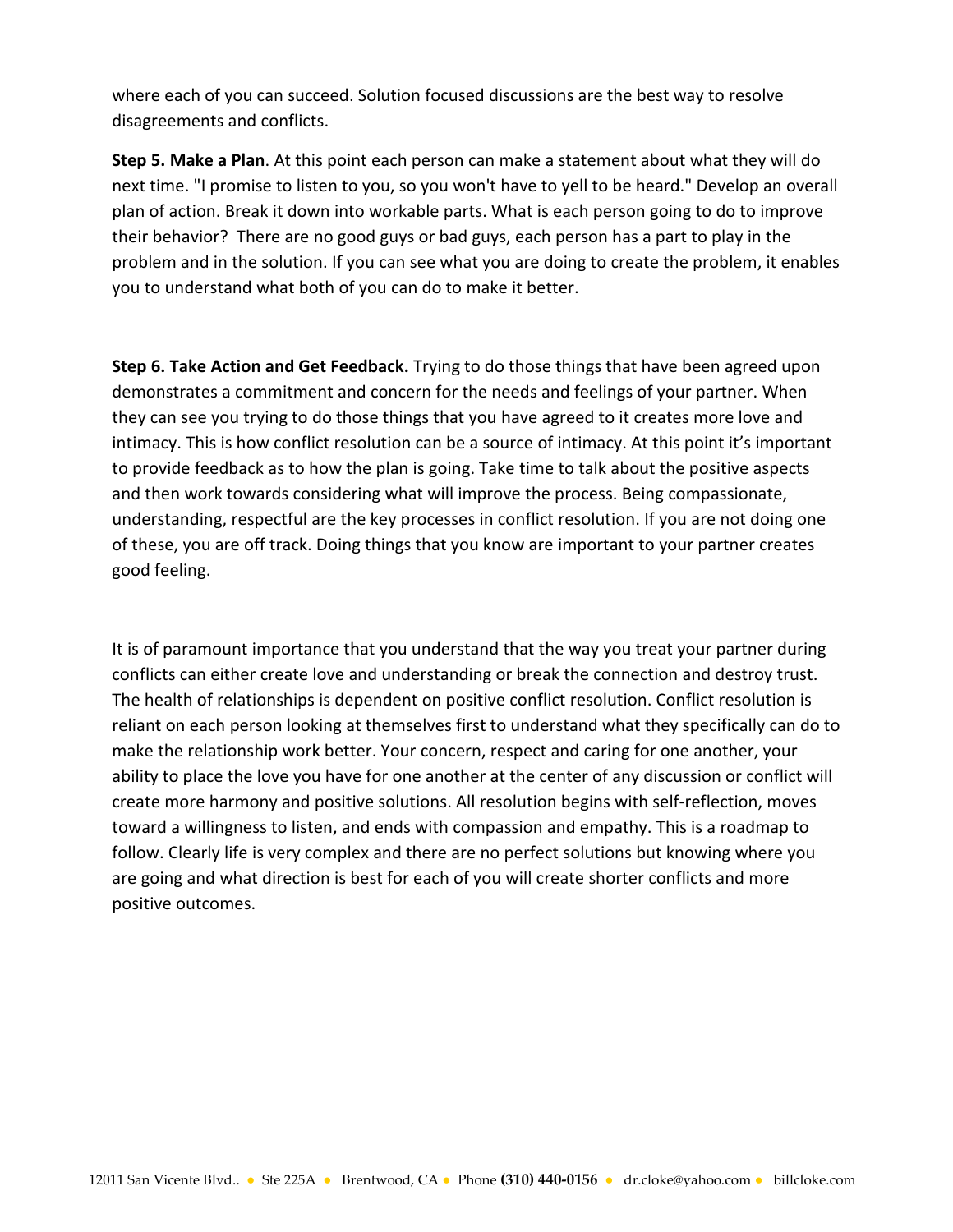where each of you can succeed. Solution focused discussions are the best way to resolve disagreements and conflicts.

**Step 5. Make a Plan**. At this point each person can make a statement about what they will do next time. "I promise to listen to you, so you won't have to yell to be heard." Develop an overall plan of action. Break it down into workable parts. What is each person going to do to improve their behavior? There are no good guys or bad guys, each person has a part to play in the problem and in the solution. If you can see what you are doing to create the problem, it enables you to understand what both of you can do to make it better.

**Step 6. Take Action and Get Feedback.** Trying to do those things that have been agreed upon demonstrates a commitment and concern for the needs and feelings of your partner. When they can see you trying to do those things that you have agreed to it creates more love and intimacy. This is how conflict resolution can be a source of intimacy. At this point it's important to provide feedback as to how the plan is going. Take time to talk about the positive aspects and then work towards considering what will improve the process. Being compassionate, understanding, respectful are the key processes in conflict resolution. If you are not doing one of these, you are off track. Doing things that you know are important to your partner creates good feeling.

It is of paramount importance that you understand that the way you treat your partner during conflicts can either create love and understanding or break the connection and destroy trust. The health of relationships is dependent on positive conflict resolution. Conflict resolution is reliant on each person looking at themselves first to understand what they specifically can do to make the relationship work better. Your concern, respect and caring for one another, your ability to place the love you have for one another at the center of any discussion or conflict will create more harmony and positive solutions. All resolution begins with self-reflection, moves toward a willingness to listen, and ends with compassion and empathy. This is a roadmap to follow. Clearly life is very complex and there are no perfect solutions but knowing where you are going and what direction is best for each of you will create shorter conflicts and more positive outcomes.